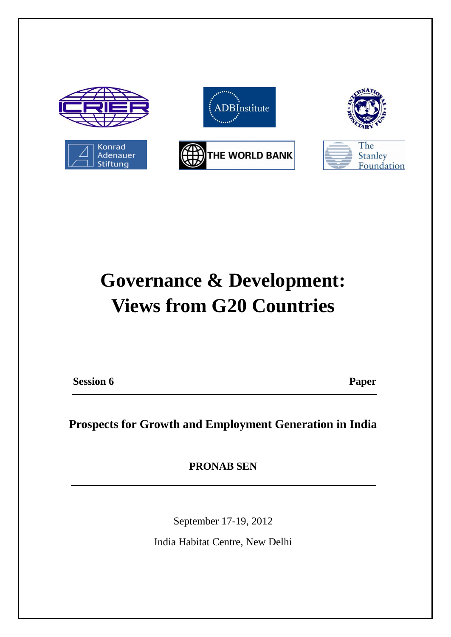

## **Governance & Development: Views from G20 Countries**

**Session 6 Paper** 

**Prospects for Growth and Employment Generation in India**

**PRONAB SEN** 

September 17-19, 2012

India Habitat Centre, New Delhi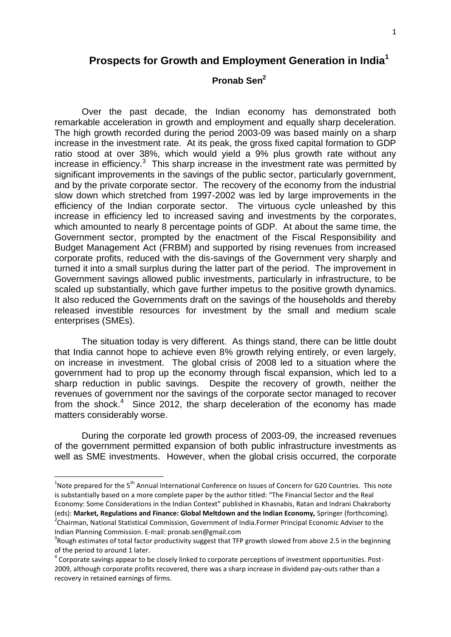## **Prospects for Growth and Employment Generation in India<sup>1</sup>**

## **Pronab Sen<sup>2</sup>**

Over the past decade, the Indian economy has demonstrated both remarkable acceleration in growth and employment and equally sharp deceleration. The high growth recorded during the period 2003-09 was based mainly on a sharp increase in the investment rate. At its peak, the gross fixed capital formation to GDP ratio stood at over 38%, which would yield a 9% plus growth rate without any increase in efficiency. $3$  This sharp increase in the investment rate was permitted by significant improvements in the savings of the public sector, particularly government, and by the private corporate sector. The recovery of the economy from the industrial slow down which stretched from 1997-2002 was led by large improvements in the efficiency of the Indian corporate sector. The virtuous cycle unleashed by this increase in efficiency led to increased saving and investments by the corporates, which amounted to nearly 8 percentage points of GDP. At about the same time, the Government sector, prompted by the enactment of the Fiscal Responsibility and Budget Management Act (FRBM) and supported by rising revenues from increased corporate profits, reduced with the dis-savings of the Government very sharply and turned it into a small surplus during the latter part of the period. The improvement in Government savings allowed public investments, particularly in infrastructure, to be scaled up substantially, which gave further impetus to the positive growth dynamics. It also reduced the Governments draft on the savings of the households and thereby released investible resources for investment by the small and medium scale enterprises (SMEs).

The situation today is very different. As things stand, there can be little doubt that India cannot hope to achieve even 8% growth relying entirely, or even largely, on increase in investment. The global crisis of 2008 led to a situation where the government had to prop up the economy through fiscal expansion, which led to a sharp reduction in public savings. Despite the recovery of growth, neither the revenues of government nor the savings of the corporate sector managed to recover from the shock.<sup>4</sup> Since 2012, the sharp deceleration of the economy has made matters considerably worse.

During the corporate led growth process of 2003-09, the increased revenues of the government permitted expansion of both public infrastructure investments as well as SME investments. However, when the global crisis occurred, the corporate

 1 Note prepared for the 5th Annual International Conference on Issues of Concern for G20 Countries. This note is substantially based on a more complete paper by the author titled: "The Financial Sector and the Real Economy: Some Considerations in the Indian Context" published in Khasnabis, Ratan and Indrani Chakraborty (eds): **Market, Regulations and Finance: Global Meltdown and the Indian Economy,** Springer (forthcoming).

<sup>&</sup>lt;sup>2</sup>Chairman, National Statistical Commission, Government of India.Former Principal Economic Adviser to the Indian Planning Commission. E-mail: pronab.sen@gmail.com

 $3$ Rough estimates of total factor productivity suggest that TFP growth slowed from above 2.5 in the beginning of the period to around 1 later.

 $^4$  Corporate savings appear to be closely linked to corporate perceptions of investment opportunities. Post-2009, although corporate profits recovered, there was a sharp increase in dividend pay-outs rather than a recovery in retained earnings of firms.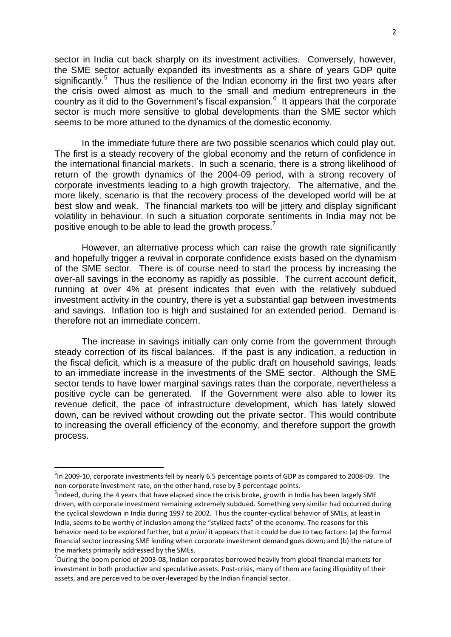sector in India cut back sharply on its investment activities. Conversely, however, the SME sector actually expanded its investments as a share of years GDP quite significantly.<sup>5</sup> Thus the resilience of the Indian economy in the first two years after the crisis owed almost as much to the small and medium entrepreneurs in the country as it did to the Government's fiscal expansion.<sup>6</sup> It appears that the corporate sector is much more sensitive to global developments than the SME sector which seems to be more attuned to the dynamics of the domestic economy.

In the immediate future there are two possible scenarios which could play out. The first is a steady recovery of the global economy and the return of confidence in the international financial markets. In such a scenario, there is a strong likelihood of return of the growth dynamics of the 2004-09 period, with a strong recovery of corporate investments leading to a high growth trajectory. The alternative, and the more likely, scenario is that the recovery process of the developed world will be at best slow and weak. The financial markets too will be jittery and display significant volatility in behaviour. In such a situation corporate sentiments in India may not be positive enough to be able to lead the growth process.<sup>7</sup>

However, an alternative process which can raise the growth rate significantly and hopefully trigger a revival in corporate confidence exists based on the dynamism of the SME sector. There is of course need to start the process by increasing the over-all savings in the economy as rapidly as possible. The current account deficit, running at over 4% at present indicates that even with the relatively subdued investment activity in the country, there is yet a substantial gap between investments and savings. Inflation too is high and sustained for an extended period. Demand is therefore not an immediate concern.

The increase in savings initially can only come from the government through steady correction of its fiscal balances. If the past is any indication, a reduction in the fiscal deficit, which is a measure of the public draft on household savings, leads to an immediate increase in the investments of the SME sector. Although the SME sector tends to have lower marginal savings rates than the corporate, nevertheless a positive cycle can be generated. If the Government were also able to lower its revenue deficit, the pace of infrastructure development, which has lately slowed down, can be revived without crowding out the private sector. This would contribute to increasing the overall efficiency of the economy, and therefore support the growth process.

 $\overline{a}$ 

<sup>&</sup>lt;sup>5</sup>In 2009-10, corporate investments fell by nearly 6.5 percentage points of GDP as compared to 2008-09. The non-corporate investment rate, on the other hand, rose by 3 percentage points.

 $<sup>6</sup>$ Indeed, during the 4 years that have elapsed since the crisis broke, growth in India has been largely SME</sup> driven, with corporate investment remaining extremely subdued. Something very similar had occurred during the cyclical slowdown in India during 1997 to 2002. Thus the counter-cyclical behavior of SMEs, at least in India, seems to be worthy of inclusion among the "stylized facts" of the economy. The reasons for this behavior need to be explored further, but *a priori* it appears that it could be due to two factors: (a) the formal financial sector increasing SME lending when corporate investment demand goes down; and (b) the nature of the markets primarily addressed by the SMEs.

 $^7$ During the boom period of 2003-08, Indian corporates borrowed heavily from global financial markets for investment in both productive and speculative assets. Post-crisis, many of them are facing illiquidity of their assets, and are perceived to be over-leveraged by the Indian financial sector.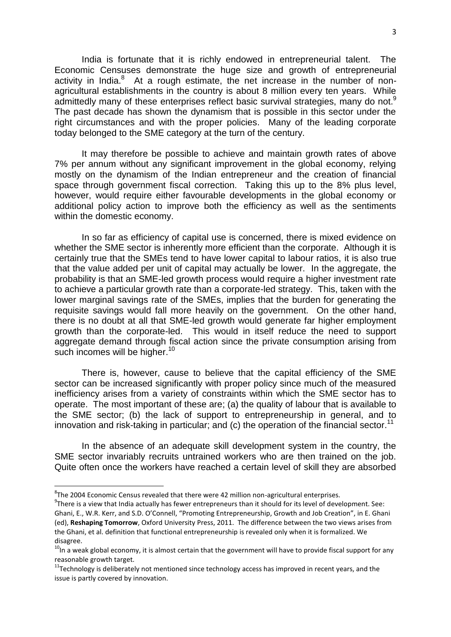India is fortunate that it is richly endowed in entrepreneurial talent. The Economic Censuses demonstrate the huge size and growth of entrepreneurial activity in India. $8$  At a rough estimate, the net increase in the number of nonagricultural establishments in the country is about 8 million every ten years. While admittedly many of these enterprises reflect basic survival strategies, many do not.<sup>9</sup> The past decade has shown the dynamism that is possible in this sector under the right circumstances and with the proper policies. Many of the leading corporate today belonged to the SME category at the turn of the century.

It may therefore be possible to achieve and maintain growth rates of above 7% per annum without any significant improvement in the global economy, relying mostly on the dynamism of the Indian entrepreneur and the creation of financial space through government fiscal correction. Taking this up to the 8% plus level, however, would require either favourable developments in the global economy or additional policy action to improve both the efficiency as well as the sentiments within the domestic economy.

In so far as efficiency of capital use is concerned, there is mixed evidence on whether the SME sector is inherently more efficient than the corporate. Although it is certainly true that the SMEs tend to have lower capital to labour ratios, it is also true that the value added per unit of capital may actually be lower. In the aggregate, the probability is that an SME-led growth process would require a higher investment rate to achieve a particular growth rate than a corporate-led strategy. This, taken with the lower marginal savings rate of the SMEs, implies that the burden for generating the requisite savings would fall more heavily on the government. On the other hand, there is no doubt at all that SME-led growth would generate far higher employment growth than the corporate-led. This would in itself reduce the need to support aggregate demand through fiscal action since the private consumption arising from such incomes will be higher.<sup>10</sup>

There is, however, cause to believe that the capital efficiency of the SME sector can be increased significantly with proper policy since much of the measured inefficiency arises from a variety of constraints within which the SME sector has to operate. The most important of these are; (a) the quality of labour that is available to the SME sector; (b) the lack of support to entrepreneurship in general, and to innovation and risk-taking in particular; and (c) the operation of the financial sector.<sup>11</sup>

In the absence of an adequate skill development system in the country, the SME sector invariably recruits untrained workers who are then trained on the job. Quite often once the workers have reached a certain level of skill they are absorbed

**.** 

 ${}^{8}$ The 2004 Economic Census revealed that there were 42 million non-agricultural enterprises.

 $9$ There is a view that India actually has fewer entrepreneurs than it should for its level of development. See: Ghani, E., W.R. Kerr, and S.D. O'Connell, "Promoting Entrepreneurship, Growth and Job Creation", in E. Ghani (ed), **Reshaping Tomorrow**, Oxford University Press, 2011. The difference between the two views arises from the Ghani, et al. definition that functional entrepreneurship is revealed only when it is formalized. We disagree.

 $10$ In a weak global economy, it is almost certain that the government will have to provide fiscal support for any reasonable growth target.

<sup>&</sup>lt;sup>11</sup>Technology is deliberately not mentioned since technology access has improved in recent years, and the issue is partly covered by innovation.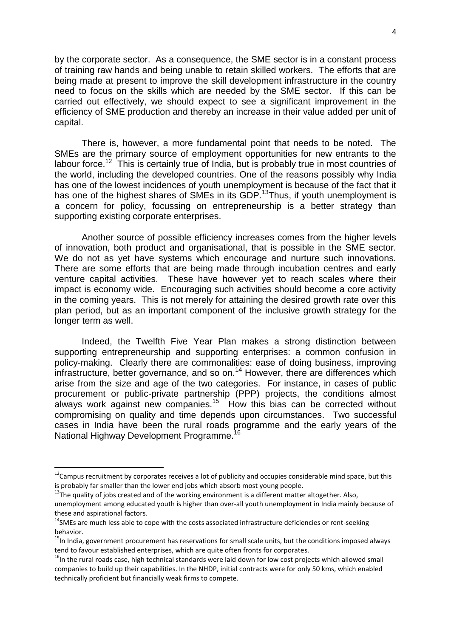by the corporate sector. As a consequence, the SME sector is in a constant process of training raw hands and being unable to retain skilled workers. The efforts that are being made at present to improve the skill development infrastructure in the country need to focus on the skills which are needed by the SME sector. If this can be carried out effectively, we should expect to see a significant improvement in the efficiency of SME production and thereby an increase in their value added per unit of capital.

There is, however, a more fundamental point that needs to be noted. The SMEs are the primary source of employment opportunities for new entrants to the labour force.<sup>12</sup> This is certainly true of India, but is probably true in most countries of the world, including the developed countries. One of the reasons possibly why India has one of the lowest incidences of youth unemployment is because of the fact that it has one of the highest shares of SMEs in its GDP.<sup>13</sup>Thus, if youth unemployment is a concern for policy, focussing on entrepreneurship is a better strategy than supporting existing corporate enterprises.

Another source of possible efficiency increases comes from the higher levels of innovation, both product and organisational, that is possible in the SME sector. We do not as yet have systems which encourage and nurture such innovations. There are some efforts that are being made through incubation centres and early venture capital activities. These have however yet to reach scales where their impact is economy wide. Encouraging such activities should become a core activity in the coming years. This is not merely for attaining the desired growth rate over this plan period, but as an important component of the inclusive growth strategy for the longer term as well.

Indeed, the Twelfth Five Year Plan makes a strong distinction between supporting entrepreneurship and supporting enterprises: a common confusion in policy-making. Clearly there are commonalities: ease of doing business, improving infrastructure, better governance, and so on.<sup>14</sup> However, there are differences which arise from the size and age of the two categories. For instance, in cases of public procurement or public-private partnership (PPP) projects, the conditions almost always work against new companies.<sup>15</sup> How this bias can be corrected without compromising on quality and time depends upon circumstances. Two successful cases in India have been the rural roads programme and the early years of the National Highway Development Programme.<sup>16</sup>

 $\overline{a}$ 

<sup>&</sup>lt;sup>12</sup> Campus recruitment by corporates receives a lot of publicity and occupies considerable mind space, but this is probably far smaller than the lower end jobs which absorb most young people.

 $13$ The quality of iobs created and of the working environment is a different matter altogether. Also,

unemployment among educated youth is higher than over-all youth unemployment in India mainly because of these and aspirational factors.

<sup>&</sup>lt;sup>14</sup>SMEs are much less able to cope with the costs associated infrastructure deficiencies or rent-seeking behavior.

<sup>&</sup>lt;sup>15</sup>In India, government procurement has reservations for small scale units, but the conditions imposed always tend to favour established enterprises, which are quite often fronts for corporates.

<sup>&</sup>lt;sup>16</sup>In the rural roads case, high technical standards were laid down for low cost projects which allowed small companies to build up their capabilities. In the NHDP, initial contracts were for only 50 kms, which enabled technically proficient but financially weak firms to compete.